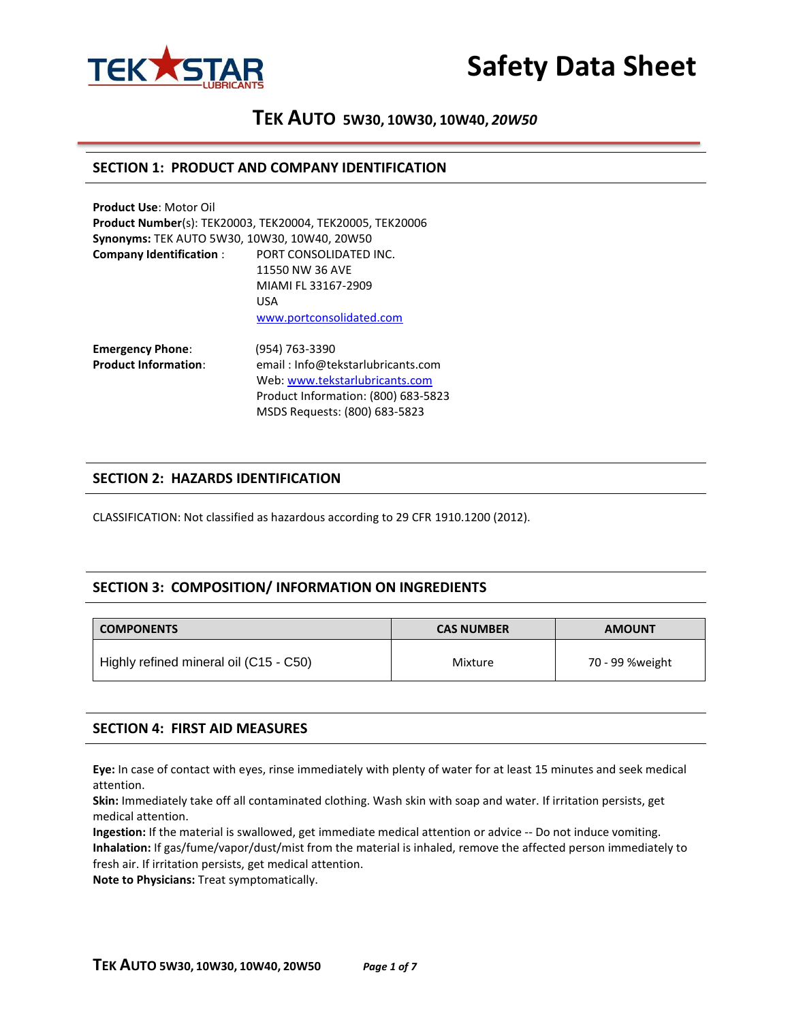



## **SECTION 1: PRODUCT AND COMPANY IDENTIFICATION**

| <b>Product Use: Motor Oil</b>                |                                                           |
|----------------------------------------------|-----------------------------------------------------------|
|                                              | Product Number(s): TEK20003, TEK20004, TEK20005, TEK20006 |
| Synonyms: TEK AUTO 5W30, 10W30, 10W40, 20W50 |                                                           |
| <b>Company Identification:</b>               | PORT CONSOLIDATED INC.                                    |
|                                              | 11550 NW 36 AVE                                           |
|                                              | MIAMI FL 33167-2909                                       |
|                                              | <b>USA</b>                                                |
|                                              | www.portconsolidated.com                                  |
|                                              |                                                           |

**Emergency Phone**: (954) 763-3390 **Product Information**: email : Info@tekstarlubricants.com Web: [www.tekstarlubricants.com](http://www.tekstarlubricants.com/) Product Information: (800) 683-5823 MSDS Requests: (800) 683-5823

## **SECTION 2: HAZARDS IDENTIFICATION**

CLASSIFICATION: Not classified as hazardous according to 29 CFR 1910.1200 (2012).

## **SECTION 3: COMPOSITION/ INFORMATION ON INGREDIENTS**

| <b>COMPONENTS</b><br><b>CAS NUMBER</b> |         | <b>AMOUNT</b>   |  |  |
|----------------------------------------|---------|-----------------|--|--|
| Highly refined mineral oil (C15 - C50) | Mixture | 70 - 99 %weight |  |  |

## **SECTION 4: FIRST AID MEASURES**

**Eye:** In case of contact with eyes, rinse immediately with plenty of water for at least 15 minutes and seek medical attention.

**Skin:** Immediately take off all contaminated clothing. Wash skin with soap and water. If irritation persists, get medical attention.

**Ingestion:** If the material is swallowed, get immediate medical attention or advice -- Do not induce vomiting. **Inhalation:** If gas/fume/vapor/dust/mist from the material is inhaled, remove the affected person immediately to fresh air. If irritation persists, get medical attention.

**Note to Physicians:** Treat symptomatically.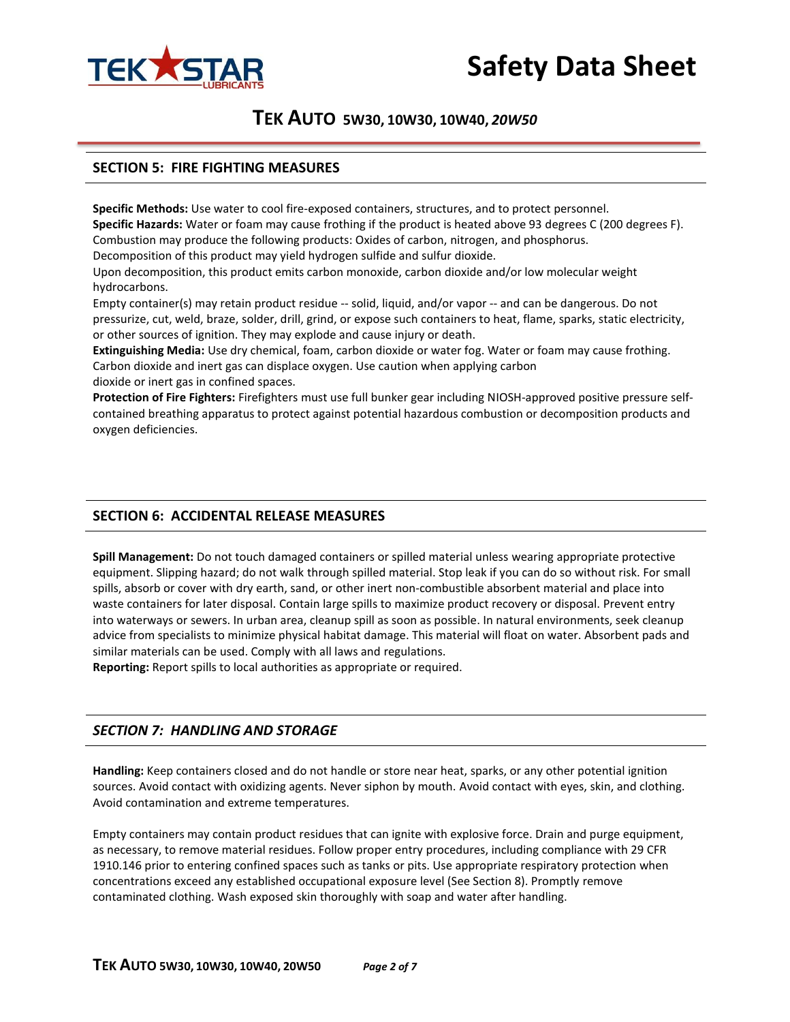



## **SECTION 5: FIRE FIGHTING MEASURES**

**Specific Methods:** Use water to cool fire-exposed containers, structures, and to protect personnel. **Specific Hazards:** Water or foam may cause frothing if the product is heated above 93 degrees C (200 degrees F). Combustion may produce the following products: Oxides of carbon, nitrogen, and phosphorus. Decomposition of this product may yield hydrogen sulfide and sulfur dioxide.

Upon decomposition, this product emits carbon monoxide, carbon dioxide and/or low molecular weight hydrocarbons.

Empty container(s) may retain product residue -- solid, liquid, and/or vapor -- and can be dangerous. Do not pressurize, cut, weld, braze, solder, drill, grind, or expose such containers to heat, flame, sparks, static electricity, or other sources of ignition. They may explode and cause injury or death.

**Extinguishing Media:** Use dry chemical, foam, carbon dioxide or water fog. Water or foam may cause frothing. Carbon dioxide and inert gas can displace oxygen. Use caution when applying carbon dioxide or inert gas in confined spaces.

**Protection of Fire Fighters:** Firefighters must use full bunker gear including NIOSH-approved positive pressure selfcontained breathing apparatus to protect against potential hazardous combustion or decomposition products and oxygen deficiencies.

## **SECTION 6: ACCIDENTAL RELEASE MEASURES**

**Spill Management:** Do not touch damaged containers or spilled material unless wearing appropriate protective equipment. Slipping hazard; do not walk through spilled material. Stop leak if you can do so without risk. For small spills, absorb or cover with dry earth, sand, or other inert non-combustible absorbent material and place into waste containers for later disposal. Contain large spills to maximize product recovery or disposal. Prevent entry into waterways or sewers. In urban area, cleanup spill as soon as possible. In natural environments, seek cleanup advice from specialists to minimize physical habitat damage. This material will float on water. Absorbent pads and similar materials can be used. Comply with all laws and regulations.

**Reporting:** Report spills to local authorities as appropriate or required.

## *SECTION 7: HANDLING AND STORAGE*

**Handling:** Keep containers closed and do not handle or store near heat, sparks, or any other potential ignition sources. Avoid contact with oxidizing agents. Never siphon by mouth. Avoid contact with eyes, skin, and clothing. Avoid contamination and extreme temperatures.

Empty containers may contain product residues that can ignite with explosive force. Drain and purge equipment, as necessary, to remove material residues. Follow proper entry procedures, including compliance with 29 CFR 1910.146 prior to entering confined spaces such as tanks or pits. Use appropriate respiratory protection when concentrations exceed any established occupational exposure level (See Section 8). Promptly remove contaminated clothing. Wash exposed skin thoroughly with soap and water after handling.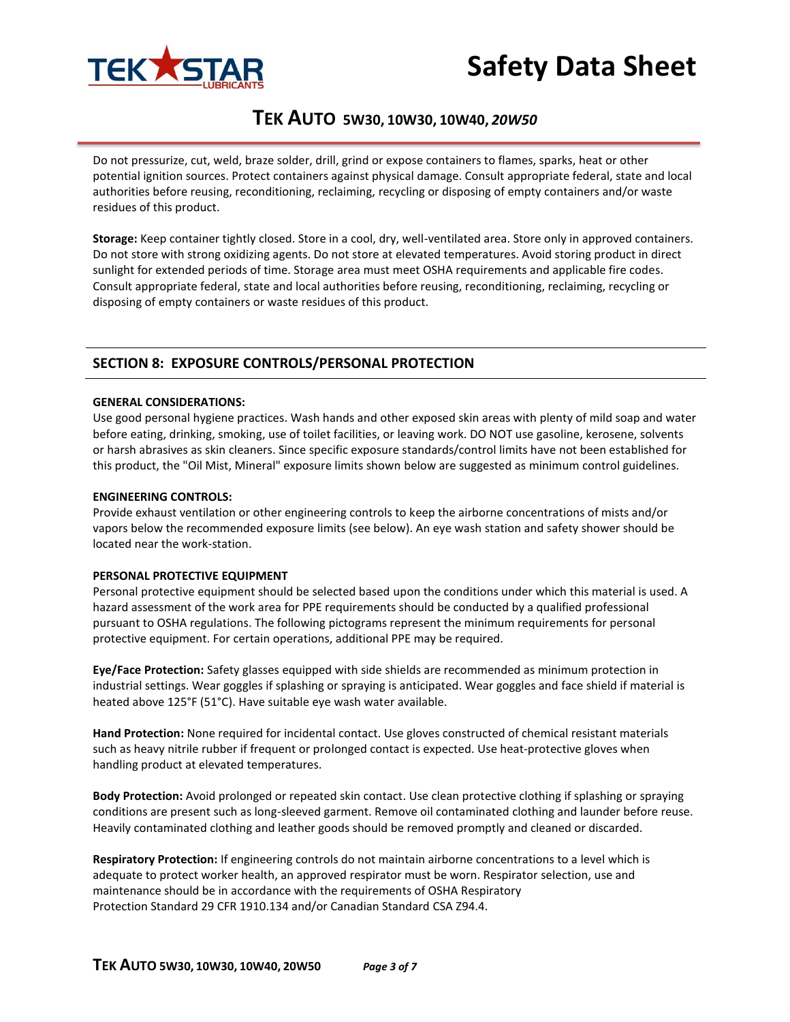

# **Safety Data Sheet**

# **TEK AUTO 5W30, 10W30, 10W40,** *20W50*

Do not pressurize, cut, weld, braze solder, drill, grind or expose containers to flames, sparks, heat or other potential ignition sources. Protect containers against physical damage. Consult appropriate federal, state and local authorities before reusing, reconditioning, reclaiming, recycling or disposing of empty containers and/or waste residues of this product.

**Storage:** Keep container tightly closed. Store in a cool, dry, well-ventilated area. Store only in approved containers. Do not store with strong oxidizing agents. Do not store at elevated temperatures. Avoid storing product in direct sunlight for extended periods of time. Storage area must meet OSHA requirements and applicable fire codes. Consult appropriate federal, state and local authorities before reusing, reconditioning, reclaiming, recycling or disposing of empty containers or waste residues of this product.

## **SECTION 8: EXPOSURE CONTROLS/PERSONAL PROTECTION**

#### **GENERAL CONSIDERATIONS:**

Use good personal hygiene practices. Wash hands and other exposed skin areas with plenty of mild soap and water before eating, drinking, smoking, use of toilet facilities, or leaving work. DO NOT use gasoline, kerosene, solvents or harsh abrasives as skin cleaners. Since specific exposure standards/control limits have not been established for this product, the "Oil Mist, Mineral" exposure limits shown below are suggested as minimum control guidelines.

#### **ENGINEERING CONTROLS:**

Provide exhaust ventilation or other engineering controls to keep the airborne concentrations of mists and/or vapors below the recommended exposure limits (see below). An eye wash station and safety shower should be located near the work-station.

#### **PERSONAL PROTECTIVE EQUIPMENT**

Personal protective equipment should be selected based upon the conditions under which this material is used. A hazard assessment of the work area for PPE requirements should be conducted by a qualified professional pursuant to OSHA regulations. The following pictograms represent the minimum requirements for personal protective equipment. For certain operations, additional PPE may be required.

**Eye/Face Protection:** Safety glasses equipped with side shields are recommended as minimum protection in industrial settings. Wear goggles if splashing or spraying is anticipated. Wear goggles and face shield if material is heated above 125°F (51°C). Have suitable eye wash water available.

**Hand Protection:** None required for incidental contact. Use gloves constructed of chemical resistant materials such as heavy nitrile rubber if frequent or prolonged contact is expected. Use heat-protective gloves when handling product at elevated temperatures.

**Body Protection:** Avoid prolonged or repeated skin contact. Use clean protective clothing if splashing or spraying conditions are present such as long-sleeved garment. Remove oil contaminated clothing and launder before reuse. Heavily contaminated clothing and leather goods should be removed promptly and cleaned or discarded.

**Respiratory Protection:** If engineering controls do not maintain airborne concentrations to a level which is adequate to protect worker health, an approved respirator must be worn. Respirator selection, use and maintenance should be in accordance with the requirements of OSHA Respiratory Protection Standard 29 CFR 1910.134 and/or Canadian Standard CSA Z94.4.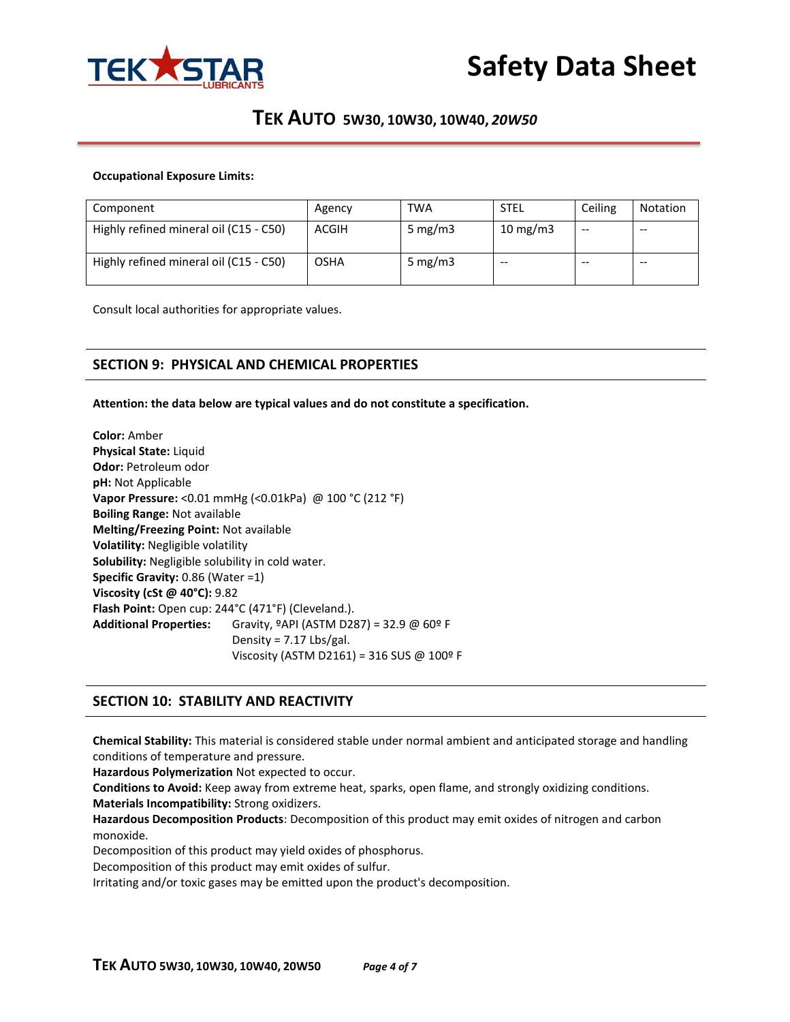

### **Occupational Exposure Limits:**

| Component                              | Agency      | <b>TWA</b> | <b>STEL</b> | Ceiling | Notation |
|----------------------------------------|-------------|------------|-------------|---------|----------|
| Highly refined mineral oil (C15 - C50) | ACGIH       | 5 mg/m $3$ | 10 mg/m $3$ | $- -$   | $- -$    |
| Highly refined mineral oil (C15 - C50) | <b>OSHA</b> | 5 mg/m $3$ | $- -$       | --      | $- -$    |

Consult local authorities for appropriate values.

## **SECTION 9: PHYSICAL AND CHEMICAL PROPERTIES**

**Attention: the data below are typical values and do not constitute a specification.**

**Color:** Amber **Physical State:** Liquid **Odor:** Petroleum odor **pH:** Not Applicable **Vapor Pressure:** <0.01 mmHg (<0.01kPa) @ 100 °C (212 °F) **Boiling Range:** Not available **Melting/Freezing Point:** Not available **Volatility:** Negligible volatility **Solubility:** Negligible solubility in cold water. **Specific Gravity:** 0.86 (Water =1) **Viscosity (cSt @ 40°C):** 9.82 **Flash Point:** Open cup: 244°C (471°F) (Cleveland.). **Additional Properties:** Gravity, ºAPI (ASTM D287) = 32.9 @ 60º F Density =  $7.17$  Lbs/gal. Viscosity (ASTM D2161) = 316 SUS @ 100º F

## **SECTION 10: STABILITY AND REACTIVITY**

**Chemical Stability:** This material is considered stable under normal ambient and anticipated storage and handling conditions of temperature and pressure.

**Hazardous Polymerization** Not expected to occur.

**Conditions to Avoid:** Keep away from extreme heat, sparks, open flame, and strongly oxidizing conditions.

**Materials Incompatibility:** Strong oxidizers.

**Hazardous Decomposition Products**: Decomposition of this product may emit oxides of nitrogen and carbon monoxide.

Decomposition of this product may yield oxides of phosphorus.

Decomposition of this product may emit oxides of sulfur.

Irritating and/or toxic gases may be emitted upon the product's decomposition.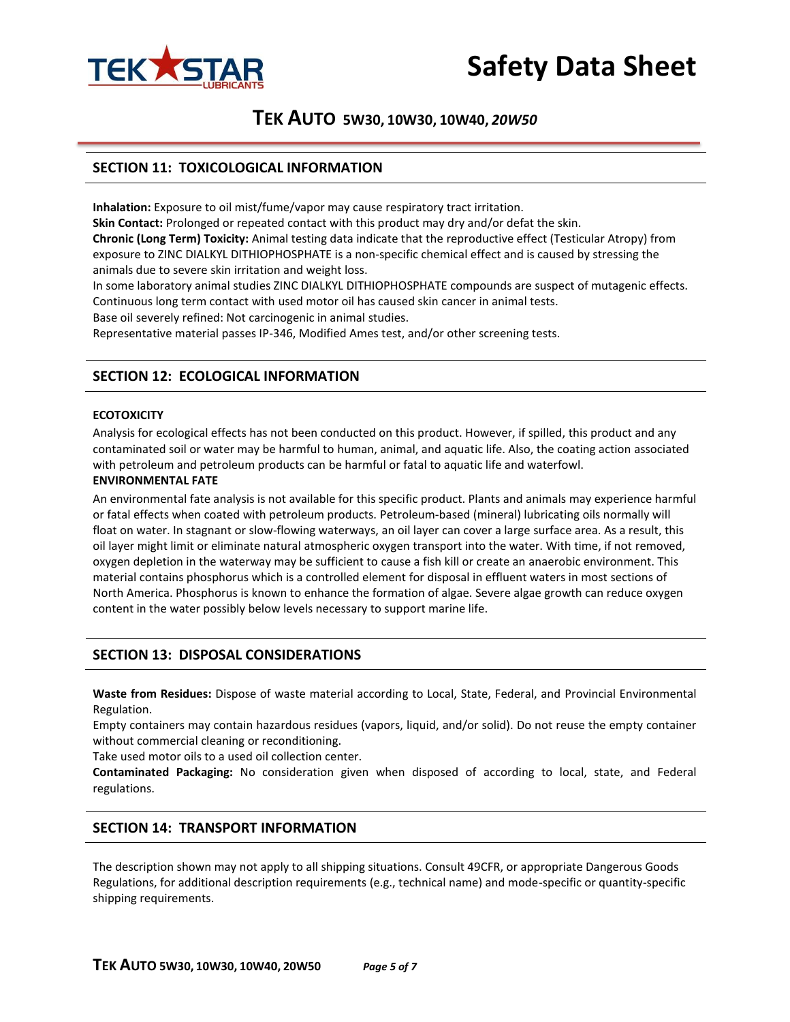



## **SECTION 11: TOXICOLOGICAL INFORMATION**

**Inhalation:** Exposure to oil mist/fume/vapor may cause respiratory tract irritation.

**Skin Contact:** Prolonged or repeated contact with this product may dry and/or defat the skin. **Chronic (Long Term) Toxicity:** Animal testing data indicate that the reproductive effect (Testicular Atropy) from exposure to ZINC DIALKYL DITHIOPHOSPHATE is a non-specific chemical effect and is caused by stressing the animals due to severe skin irritation and weight loss.

In some laboratory animal studies ZINC DIALKYL DITHIOPHOSPHATE compounds are suspect of mutagenic effects. Continuous long term contact with used motor oil has caused skin cancer in animal tests. Base oil severely refined: Not carcinogenic in animal studies.

Representative material passes IP-346, Modified Ames test, and/or other screening tests.

## **SECTION 12: ECOLOGICAL INFORMATION**

#### **ECOTOXICITY**

Analysis for ecological effects has not been conducted on this product. However, if spilled, this product and any contaminated soil or water may be harmful to human, animal, and aquatic life. Also, the coating action associated with petroleum and petroleum products can be harmful or fatal to aquatic life and waterfowl.

#### **ENVIRONMENTAL FATE**

An environmental fate analysis is not available for this specific product. Plants and animals may experience harmful or fatal effects when coated with petroleum products. Petroleum-based (mineral) lubricating oils normally will float on water. In stagnant or slow-flowing waterways, an oil layer can cover a large surface area. As a result, this oil layer might limit or eliminate natural atmospheric oxygen transport into the water. With time, if not removed, oxygen depletion in the waterway may be sufficient to cause a fish kill or create an anaerobic environment. This material contains phosphorus which is a controlled element for disposal in effluent waters in most sections of North America. Phosphorus is known to enhance the formation of algae. Severe algae growth can reduce oxygen content in the water possibly below levels necessary to support marine life.

## **SECTION 13: DISPOSAL CONSIDERATIONS**

**Waste from Residues:** Dispose of waste material according to Local, State, Federal, and Provincial Environmental Regulation.

Empty containers may contain hazardous residues (vapors, liquid, and/or solid). Do not reuse the empty container without commercial cleaning or reconditioning.

Take used motor oils to a used oil collection center.

**Contaminated Packaging:** No consideration given when disposed of according to local, state, and Federal regulations.

## **SECTION 14: TRANSPORT INFORMATION**

The description shown may not apply to all shipping situations. Consult 49CFR, or appropriate Dangerous Goods Regulations, for additional description requirements (e.g., technical name) and mode-specific or quantity-specific shipping requirements.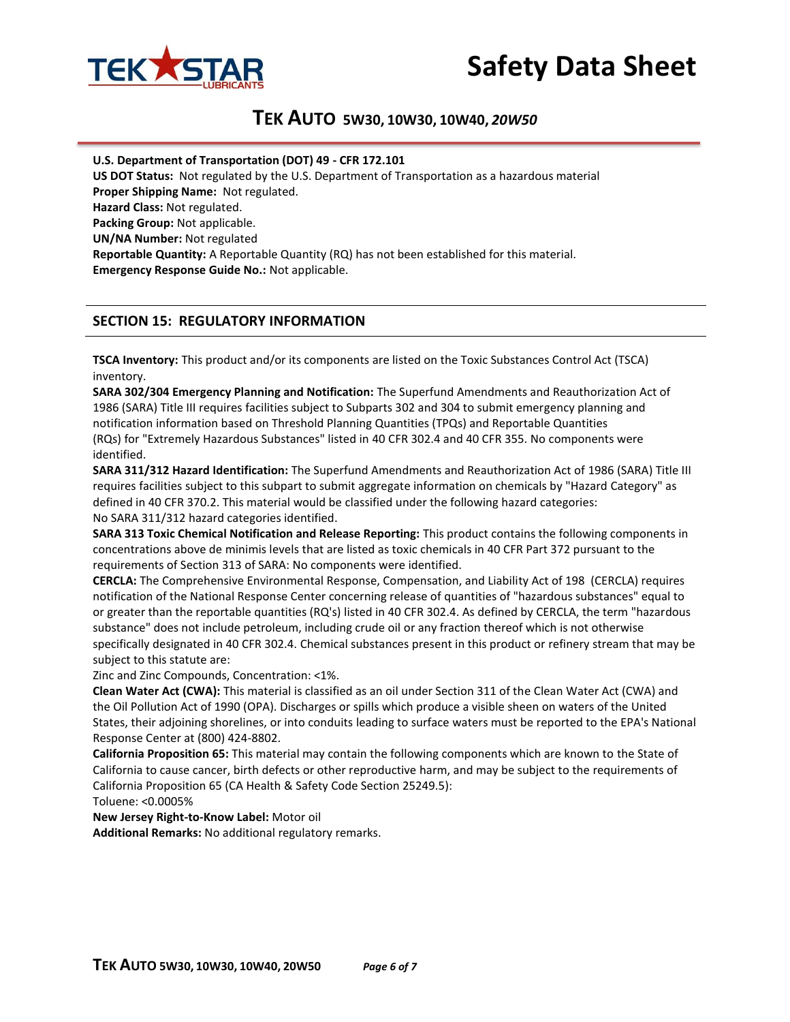



**U.S. Department of Transportation (DOT) 49 - CFR 172.101**

**US DOT Status:** Not regulated by the U.S. Department of Transportation as a hazardous material **Proper Shipping Name:** Not regulated. **Hazard Class:** Not regulated. **Packing Group:** Not applicable. **UN/NA Number:** Not regulated **Reportable Quantity:** A Reportable Quantity (RQ) has not been established for this material. **Emergency Response Guide No.:** Not applicable.

## **SECTION 15: REGULATORY INFORMATION**

**TSCA Inventory:** This product and/or its components are listed on the Toxic Substances Control Act (TSCA) inventory.

**SARA 302/304 Emergency Planning and Notification:** The Superfund Amendments and Reauthorization Act of 1986 (SARA) Title III requires facilities subject to Subparts 302 and 304 to submit emergency planning and notification information based on Threshold Planning Quantities (TPQs) and Reportable Quantities (RQs) for "Extremely Hazardous Substances" listed in 40 CFR 302.4 and 40 CFR 355. No components were identified.

**SARA 311/312 Hazard Identification:** The Superfund Amendments and Reauthorization Act of 1986 (SARA) Title III requires facilities subject to this subpart to submit aggregate information on chemicals by "Hazard Category" as defined in 40 CFR 370.2. This material would be classified under the following hazard categories: No SARA 311/312 hazard categories identified.

**SARA 313 Toxic Chemical Notification and Release Reporting:** This product contains the following components in concentrations above de minimis levels that are listed as toxic chemicals in 40 CFR Part 372 pursuant to the requirements of Section 313 of SARA: No components were identified.

**CERCLA:** The Comprehensive Environmental Response, Compensation, and Liability Act of 198 (CERCLA) requires notification of the National Response Center concerning release of quantities of "hazardous substances" equal to or greater than the reportable quantities (RQ's) listed in 40 CFR 302.4. As defined by CERCLA, the term "hazardous substance" does not include petroleum, including crude oil or any fraction thereof which is not otherwise specifically designated in 40 CFR 302.4. Chemical substances present in this product or refinery stream that may be subject to this statute are:

Zinc and Zinc Compounds, Concentration: <1%.

**Clean Water Act (CWA):** This material is classified as an oil under Section 311 of the Clean Water Act (CWA) and the Oil Pollution Act of 1990 (OPA). Discharges or spills which produce a visible sheen on waters of the United States, their adjoining shorelines, or into conduits leading to surface waters must be reported to the EPA's National Response Center at (800) 424-8802.

**California Proposition 65:** This material may contain the following components which are known to the State of California to cause cancer, birth defects or other reproductive harm, and may be subject to the requirements of California Proposition 65 (CA Health & Safety Code Section 25249.5):

Toluene: <0.0005%

**New Jersey Right-to-Know Label:** Motor oil

**Additional Remarks:** No additional regulatory remarks.